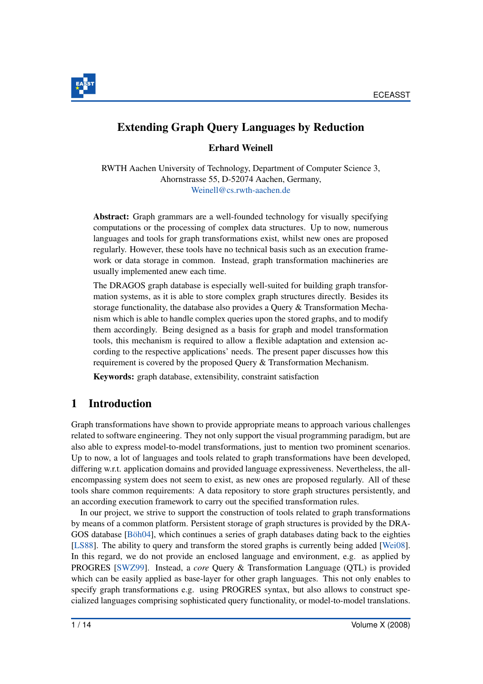

# Extending Graph Query Languages by Reduction

Erhard Weinell

RWTH Aachen University of Technology, Department of Computer Science 3, Ahornstrasse 55, D-52074 Aachen, Germany, Weinell@cs.rwth-aachen.de

Abstract: Graph grammars are a well-founded technology for visually specifying computations or the processing of complex data structures. Up to now, numerous languages and tools for graph transformations exist, whilst new ones are proposed regularly. However, these tools have no technical basis such as an execution framework or data storage in common. Instead, graph transformation machineries are usually implemented anew each time.

The DRAGOS graph database is especially well-suited for building graph transformation systems, as it is able to store complex graph structures directly. Besides its storage functionality, the database also provides a Query & Transformation Mechanism which is able to handle complex queries upon the stored graphs, and to modify them accordingly. Being designed as a basis for graph and model transformation tools, this mechanism is required to allow a flexible adaptation and extension according to the respective applications' needs. The present paper discusses how this requirement is covered by the proposed Query & Transformation Mechanism.

Keywords: graph database, extensibility, constraint satisfaction

# 1 Introduction

Graph transformations have shown to provide appropriate means to approach various challenges related to software engineering. They not only support the visual programming paradigm, but are also able to express model-to-model transformations, just to mention two prominent scenarios. Up to now, a lot of languages and tools related to graph transformations have been developed, differing w.r.t. application domains and provided language expressiveness. Nevertheless, the allencompassing system does not seem to exist, as new ones are proposed regularly. All of these tools share common requirements: A data repository to store graph structures persistently, and an according execution framework to carry out the specified transformation rules.

In our project, we strive to support the construction of tools related to graph transformations by means of a common platform. Persistent storage of graph structures is provided by the DRA-GOS database  $[B\ddot{o}h04]$ , which continues a series of graph databases dating back to the eighties [LS88]. The ability to query and transform the stored graphs is currently being added [Wei08]. In this regard, we do not provide an enclosed language and environment, e.g. as applied by PROGRES [SWZ99]. Instead, a *core* Query & Transformation Language (QTL) is provided which can be easily applied as base-layer for other graph languages. This not only enables to specify graph transformations e.g. using PROGRES syntax, but also allows to construct specialized languages comprising sophisticated query functionality, or model-to-model translations.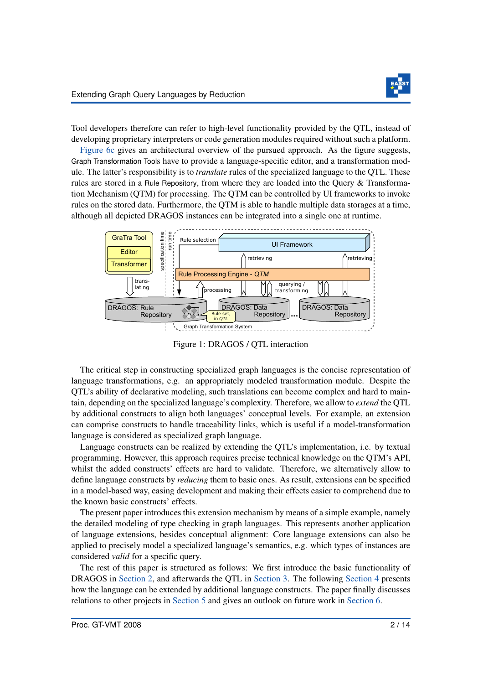

Tool developers therefore can refer to high-level functionality provided by the QTL, instead of developing proprietary interpreters or code generation modules required without such a platform.

Figure 6c gives an architectural overview of the pursued approach. As the figure suggests, Graph Transformation Tools have to provide a language-specific editor, and a transformation module. The latter's responsibility is to *translate* rules of the specialized language to the QTL. These rules are stored in a Rule Repository, from where they are loaded into the Query & Transformation Mechanism (QTM) for processing. The QTM can be controlled by UI frameworks to invoke rules on the stored data. Furthermore, the QTM is able to handle multiple data storages at a time, although all depicted DRAGOS instances can be integrated into a single one at runtime.



Figure 1: DRAGOS / QTL interaction

The critical step in constructing specialized graph languages is the concise representation of language transformations, e.g. an appropriately modeled transformation module. Despite the QTL's ability of declarative modeling, such translations can become complex and hard to maintain, depending on the specialized language's complexity. Therefore, we allow to *extend* the QTL by additional constructs to align both languages' conceptual levels. For example, an extension can comprise constructs to handle traceability links, which is useful if a model-transformation language is considered as specialized graph language.

Language constructs can be realized by extending the QTL's implementation, i.e. by textual programming. However, this approach requires precise technical knowledge on the QTM's API, whilst the added constructs' effects are hard to validate. Therefore, we alternatively allow to define language constructs by *reducing* them to basic ones. As result, extensions can be specified in a model-based way, easing development and making their effects easier to comprehend due to the known basic constructs' effects.

The present paper introduces this extension mechanism by means of a simple example, namely the detailed modeling of type checking in graph languages. This represents another application of language extensions, besides conceptual alignment: Core language extensions can also be applied to precisely model a specialized language's semantics, e.g. which types of instances are considered *valid* for a specific query.

The rest of this paper is structured as follows: We first introduce the basic functionality of DRAGOS in Section 2, and afterwards the QTL in Section 3. The following Section 4 presents how the language can be extended by additional language constructs. The paper finally discusses relations to other projects in Section 5 and gives an outlook on future work in Section 6.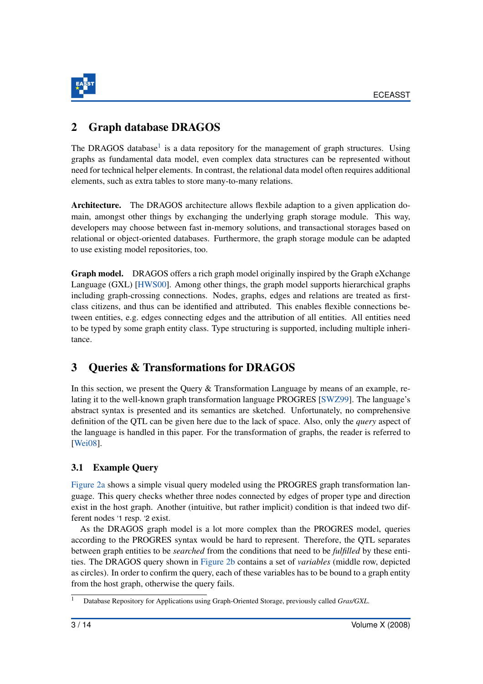

# 2 Graph database DRAGOS

The DRAGOS database<sup>1</sup> is a data repository for the management of graph structures. Using graphs as fundamental data model, even complex data structures can be represented without need for technical helper elements. In contrast, the relational data model often requires additional elements, such as extra tables to store many-to-many relations.

Architecture. The DRAGOS architecture allows flexbile adaption to a given application domain, amongst other things by exchanging the underlying graph storage module. This way, developers may choose between fast in-memory solutions, and transactional storages based on relational or object-oriented databases. Furthermore, the graph storage module can be adapted to use existing model repositories, too.

Graph model. DRAGOS offers a rich graph model originally inspired by the Graph eXchange Language (GXL) [HWS00]. Among other things, the graph model supports hierarchical graphs including graph-crossing connections. Nodes, graphs, edges and relations are treated as firstclass citizens, and thus can be identified and attributed. This enables flexible connections between entities, e.g. edges connecting edges and the attribution of all entities. All entities need to be typed by some graph entity class. Type structuring is supported, including multiple inheritance.

# 3 Queries & Transformations for DRAGOS

In this section, we present the Query & Transformation Language by means of an example, relating it to the well-known graph transformation language PROGRES [SWZ99]. The language's abstract syntax is presented and its semantics are sketched. Unfortunately, no comprehensive definition of the QTL can be given here due to the lack of space. Also, only the *query* aspect of the language is handled in this paper. For the transformation of graphs, the reader is referred to [Wei08].

## 3.1 Example Query

Figure 2a shows a simple visual query modeled using the PROGRES graph transformation language. This query checks whether three nodes connected by edges of proper type and direction exist in the host graph. Another (intuitive, but rather implicit) condition is that indeed two different nodes '1 resp. '2 exist.

As the DRAGOS graph model is a lot more complex than the PROGRES model, queries according to the PROGRES syntax would be hard to represent. Therefore, the QTL separates between graph entities to be *searched* from the conditions that need to be *fulfilled* by these entities. The DRAGOS query shown in Figure 2b contains a set of *variables* (middle row, depicted as circles). In order to confirm the query, each of these variables has to be bound to a graph entity from the host graph, otherwise the query fails.

<sup>&</sup>lt;sup>1</sup> Database Repository for Applications using Graph-Oriented Storage, previously called *Gras/GXL*.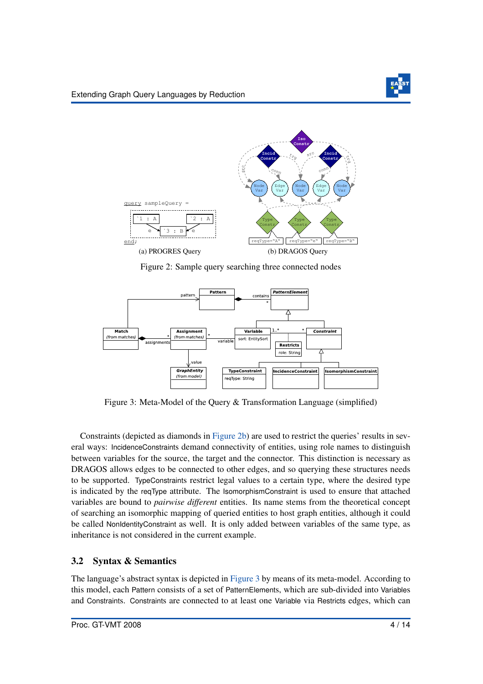

Figure 2: Sample query searching three connected nodes



Figure 3: Meta-Model of the Query & Transformation Language (simplified)

Constraints (depicted as diamonds in Figure 2b) are used to restrict the queries' results in several ways: IncidenceConstraints demand connectivity of entities, using role names to distinguish between variables for the source, the target and the connector. This distinction is necessary as DRAGOS allows edges to be connected to other edges, and so querying these structures needs to be supported. TypeConstraints restrict legal values to a certain type, where the desired type is indicated by the reqType attribute. The IsomorphismConstraint is used to ensure that attached variables are bound to *pairwise different* entities. Its name stems from the theoretical concept of searching an isomorphic mapping of queried entities to host graph entities, although it could be called NonIdentityConstraint as well. It is only added between variables of the same type, as inheritance is not considered in the current example.

# 3.2 Syntax & Semantics

The language's abstract syntax is depicted in Figure 3 by means of its meta-model. According to this model, each Pattern consists of a set of PatternElements, which are sub-divided into Variables and Constraints. Constraints are connected to at least one Variable via Restricts edges, which can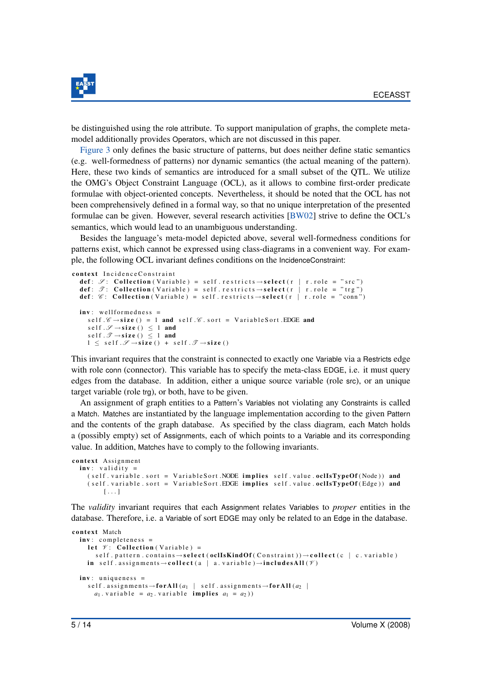

be distinguished using the role attribute. To support manipulation of graphs, the complete metamodel additionally provides Operators, which are not discussed in this paper.

Figure 3 only defines the basic structure of patterns, but does neither define static semantics (e.g. well-formedness of patterns) nor dynamic semantics (the actual meaning of the pattern). Here, these two kinds of semantics are introduced for a small subset of the QTL. We utilize the OMG's Object Constraint Language (OCL), as it allows to combine first-order predicate formulae with object-oriented concepts. Nevertheless, it should be noted that the OCL has not been comprehensively defined in a formal way, so that no unique interpretation of the presented formulae can be given. However, several research activities [BW02] strive to define the OCL's semantics, which would lead to an unambiguous understanding.

Besides the language's meta-model depicted above, several well-formedness conditions for patterns exist, which cannot be expressed using class-diagrams in a convenient way. For example, the following OCL invariant defines conditions on the IncidenceConstraint:

```
context IncidenceConstraint
  def: \mathscr{S}: Collection (Variable) = self. restricts \rightarrow select (r | r. role = "src")
  def: \mathscr{T}: Collection (Variable) = self. restricts \rightarrow select (r | r. role = "trg")
  def: \mathscr{C}: Collection (Variable) = self. restricts \rightarrow select (r | r. role = "conn")
  inv: wellformedness =self \mathscr{C} \rightarrow size () = 1 and self \mathscr{C} sort = Variable Sort . EDGE and
      s e l f \mathscr{S} \rightarrow size () \leq 1 and
      s e l f .\mathscr{T} \rightarrow size () \leq 1 and
      1 \leq \text{self} \cdot \mathscr{S} \rightarrow \text{size} () + self. \mathscr{T} \rightarrow \text{size} ()
```
This invariant requires that the constraint is connected to exactly one Variable via a Restricts edge with role conn (connector). This variable has to specify the meta-class EDGE, i.e. it must query edges from the database. In addition, either a unique source variable (role src), or an unique target variable (role trg), or both, have to be given.

An assignment of graph entities to a Pattern's Variables not violating any Constraints is called a Match. Matches are instantiated by the language implementation according to the given Pattern and the contents of the graph database. As specified by the class diagram, each Match holds a (possibly empty) set of Assignments, each of which points to a Variable and its corresponding value. In addition, Matches have to comply to the following invariants.

```
context Assignment
  inv: validity =
    ( self . variable . sort = Variable Sort .NODE implies self . value . oclIsTypeOf (Node)) and
    (self. variable. sort = VariableSort. EDGE implies self. value. ocllsTypeOf(Edge)) and
         [ . . . ]
```
The *validity* invariant requires that each Assignment relates Variables to *proper* entities in the database. Therefore, i.e. a Variable of sort EDGE may only be related to an Edge in the database.

```
context Match
  inv: completeness =
     let \mathscr V: Collection (Variable) =
        self. pattern.contains \rightarrow select (oclIsKindOf (Constraint)) \rightarrow collect (c | c.variable)
     in self. assignments \rightarrow collect (a | a. variable)\rightarrowincludesAll (\mathscr V)
  inv: uniqueness =
     self. assignments \rightarrow for All (a_1 \mid self. assignments \rightarrow for All (a_2 \mida_1. v a riable = a_2. v a riable implies a_1 = a_2)
```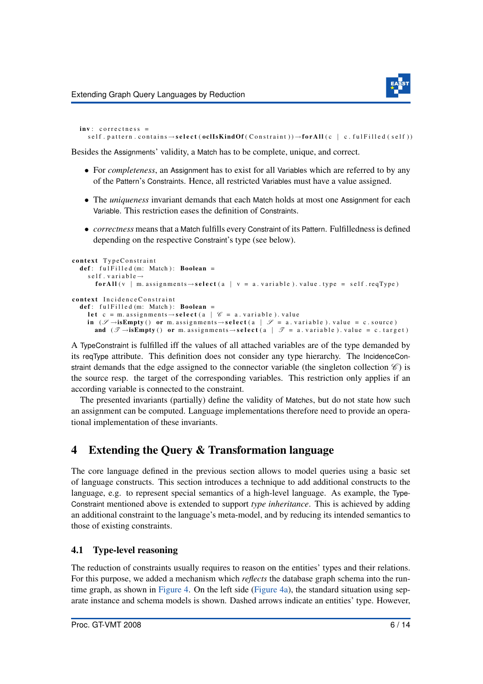```
inv: correctness =
  self. pattern.contains \rightarrow select (oclIsKindOf (Constraint)) \rightarrow for All (c | c.ful Filled (self))
```
Besides the Assignments' validity, a Match has to be complete, unique, and correct.

- For *completeness*, an Assignment has to exist for all Variables which are referred to by any of the Pattern's Constraints. Hence, all restricted Variables must have a value assigned.
- The *uniqueness* invariant demands that each Match holds at most one Assignment for each Variable. This restriction eases the definition of Constraints.
- *correctness* means that a Match fulfills every Constraint of its Pattern. Fulfilledness is defined depending on the respective Constraint's type (see below).

```
context TypeConstraint
  def: full Fil ed (m: Match): Boolean =
     s e l f . v a r i a b e \rightarrowfor All (v \mid m. assignments \rightarrow select (a \mid v = a. variable ). value . type = self. reqType)
context Incidence Constraint
  def: full Filled(m: Match): Boolean =let c = m. assignments \rightarrow select (a | \mathcal{C} = a. variable). value
     in (\mathscr{S} \rightarrow isEmpty() or m. assignments \rightarrow select(a \mid \mathscr{S} = a. variable). value = c. source)
        and (\mathscr{T} \rightarrow isEmpty () or m. assignments \rightarrow select (a | \mathscr{T} = a. variable ). value = c. target )
```
A TypeConstraint is fulfilled iff the values of all attached variables are of the type demanded by its reqType attribute. This definition does not consider any type hierarchy. The IncidenceConstraint demands that the edge assigned to the connector variable (the singleton collection  $\mathscr{C}$ ) is the source resp. the target of the corresponding variables. This restriction only applies if an according variable is connected to the constraint.

The presented invariants (partially) define the validity of Matches, but do not state how such an assignment can be computed. Language implementations therefore need to provide an operational implementation of these invariants.

# 4 Extending the Query & Transformation language

The core language defined in the previous section allows to model queries using a basic set of language constructs. This section introduces a technique to add additional constructs to the language, e.g. to represent special semantics of a high-level language. As example, the Type-Constraint mentioned above is extended to support *type inheritance*. This is achieved by adding an additional constraint to the language's meta-model, and by reducing its intended semantics to those of existing constraints.

### 4.1 Type-level reasoning

The reduction of constraints usually requires to reason on the entities' types and their relations. For this purpose, we added a mechanism which *reflects* the database graph schema into the runtime graph, as shown in Figure 4. On the left side (Figure 4a), the standard situation using separate instance and schema models is shown. Dashed arrows indicate an entities' type. However,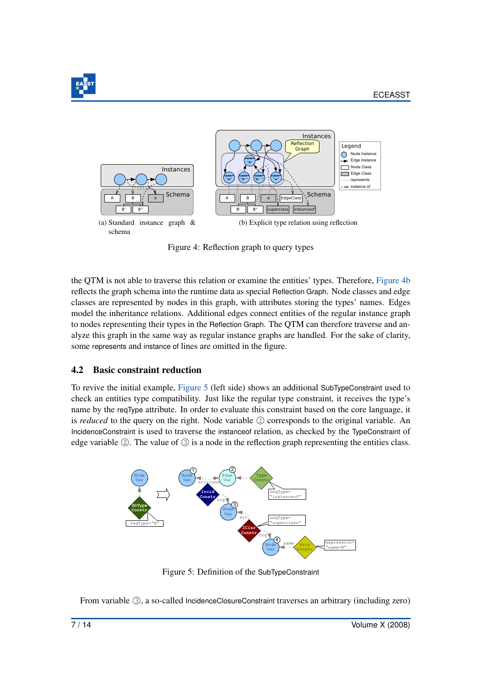



Figure 4: Reflection graph to query types

the QTM is not able to traverse this relation or examine the entities' types. Therefore, Figure 4b reflects the graph schema into the runtime data as special Reflection Graph. Node classes and edge classes are represented by nodes in this graph, with attributes storing the types' names. Edges model the inheritance relations. Additional edges connect entities of the regular instance graph to nodes representing their types in the Reflection Graph. The QTM can therefore traverse and analyze this graph in the same way as regular instance graphs are handled. For the sake of clarity, some represents and instance of lines are omitted in the figure.

### 4.2 Basic constraint reduction

To revive the initial example, Figure 5 (left side) shows an additional SubTypeConstraint used to check an entities type compatibility. Just like the regular type constraint, it receives the type's name by the reqType attribute. In order to evaluate this constraint based on the core language, it is *reduced* to the query on the right. Node variable  $\textcircled{1}$  corresponds to the original variable. An IncidenceConstraint is used to traverse the instanceof relation, as checked by the TypeConstraint of edge variable  $\oslash$ . The value of  $\oslash$  is a node in the reflection graph representing the entities class.



Figure 5: Definition of the SubTypeConstraint

From variable 3, a so-called IncidenceClosureConstraint traverses an arbitrary (including zero)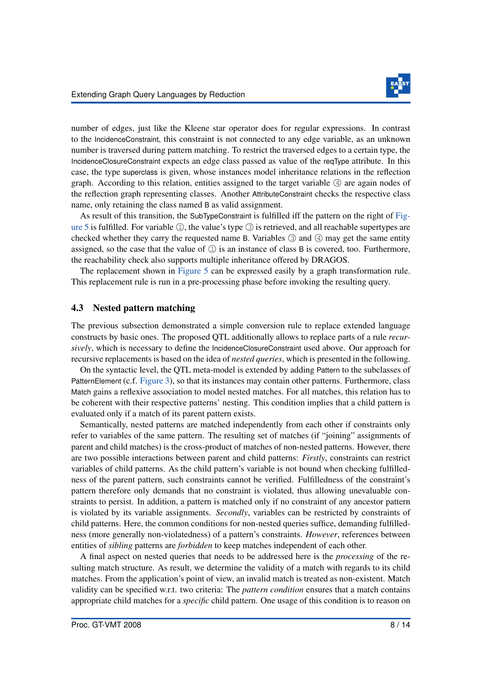

number of edges, just like the Kleene star operator does for regular expressions. In contrast to the IncidenceConstraint, this constraint is not connected to any edge variable, as an unknown number is traversed during pattern matching. To restrict the traversed edges to a certain type, the IncidenceClosureConstraint expects an edge class passed as value of the reqType attribute. In this case, the type superclass is given, whose instances model inheritance relations in the reflection graph. According to this relation, entities assigned to the target variable  $\ddot{4}$  are again nodes of the reflection graph representing classes. Another AttributeConstraint checks the respective class name, only retaining the class named B as valid assignment.

As result of this transition, the SubTypeConstraint is fulfilled iff the pattern on the right of Figure 5 is fulfilled. For variable  $\mathbb{Q}$ , the value's type  $\mathbb{Q}$  is retrieved, and all reachable supertypes are checked whether they carry the requested name B. Variables  $\circled{3}$  and  $\circled{4}$  may get the same entity assigned, so the case that the value of  $\Omega$  is an instance of class B is covered, too. Furthermore, the reachability check also supports multiple inheritance offered by DRAGOS.

The replacement shown in Figure 5 can be expressed easily by a graph transformation rule. This replacement rule is run in a pre-processing phase before invoking the resulting query.

#### 4.3 Nested pattern matching

The previous subsection demonstrated a simple conversion rule to replace extended language constructs by basic ones. The proposed QTL additionally allows to replace parts of a rule *recursively*, which is necessary to define the IncidenceClosureConstraint used above. Our approach for recursive replacements is based on the idea of *nested queries*, which is presented in the following.

On the syntactic level, the QTL meta-model is extended by adding Pattern to the subclasses of PatternElement (c.f. Figure 3), so that its instances may contain other patterns. Furthermore, class Match gains a reflexive association to model nested matches. For all matches, this relation has to be coherent with their respective patterns' nesting. This condition implies that a child pattern is evaluated only if a match of its parent pattern exists.

Semantically, nested patterns are matched independently from each other if constraints only refer to variables of the same pattern. The resulting set of matches (if "joining" assignments of parent and child matches) is the cross-product of matches of non-nested patterns. However, there are two possible interactions between parent and child patterns: *Firstly*, constraints can restrict variables of child patterns. As the child pattern's variable is not bound when checking fulfilledness of the parent pattern, such constraints cannot be verified. Fulfilledness of the constraint's pattern therefore only demands that no constraint is violated, thus allowing unevaluable constraints to persist. In addition, a pattern is matched only if no constraint of any ancestor pattern is violated by its variable assignments. *Secondly*, variables can be restricted by constraints of child patterns. Here, the common conditions for non-nested queries suffice, demanding fulfilledness (more generally non-violatedness) of a pattern's constraints. *However*, references between entities of *sibling* patterns are *forbidden* to keep matches independent of each other.

A final aspect on nested queries that needs to be addressed here is the *processing* of the resulting match structure. As result, we determine the validity of a match with regards to its child matches. From the application's point of view, an invalid match is treated as non-existent. Match validity can be specified w.r.t. two criteria: The *pattern condition* ensures that a match contains appropriate child matches for a *specific* child pattern. One usage of this condition is to reason on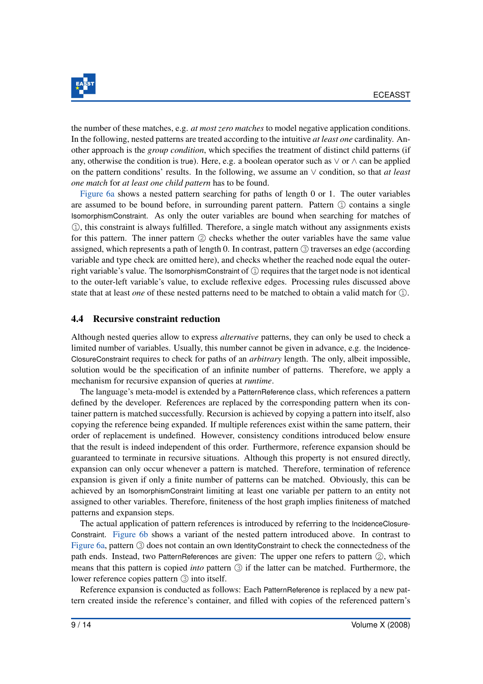

the number of these matches, e.g. *at most zero matches* to model negative application conditions. In the following, nested patterns are treated according to the intuitive *at least one* cardinality. Another approach is the *group condition*, which specifies the treatment of distinct child patterns (if any, otherwise the condition is true). Here, e.g. a boolean operator such as  $\vee$  or  $\wedge$  can be applied on the pattern conditions' results. In the following, we assume an ∨ condition, so that *at least one match* for *at least one child pattern* has to be found.

Figure 6a shows a nested pattern searching for paths of length 0 or 1. The outer variables are assumed to be bound before, in surrounding parent pattern. Pattern  $\Omega$  contains a single IsomorphismConstraint. As only the outer variables are bound when searching for matches of 1❤, this constraint is always fulfilled. Therefore, a single match without any assignments exists for this pattern. The inner pattern  $\circled{2}$  checks whether the outer variables have the same value assigned, which represents a path of length 0. In contrast, pattern  $\circled{3}$  traverses an edge (according variable and type check are omitted here), and checks whether the reached node equal the outerright variable's value. The IsomorphismConstraint of  $\mathbb Q$  requires that the target node is not identical to the outer-left variable's value, to exclude reflexive edges. Processing rules discussed above state that at least *one* of these nested patterns need to be matched to obtain a valid match for  $\mathbb{Q}$ .

### 4.4 Recursive constraint reduction

Although nested queries allow to express *alternative* patterns, they can only be used to check a limited number of variables. Usually, this number cannot be given in advance, e.g. the Incidence-ClosureConstraint requires to check for paths of an *arbitrary* length. The only, albeit impossible, solution would be the specification of an infinite number of patterns. Therefore, we apply a mechanism for recursive expansion of queries at *runtime*.

The language's meta-model is extended by a PatternReference class, which references a pattern defined by the developer. References are replaced by the corresponding pattern when its container pattern is matched successfully. Recursion is achieved by copying a pattern into itself, also copying the reference being expanded. If multiple references exist within the same pattern, their order of replacement is undefined. However, consistency conditions introduced below ensure that the result is indeed independent of this order. Furthermore, reference expansion should be guaranteed to terminate in recursive situations. Although this property is not ensured directly, expansion can only occur whenever a pattern is matched. Therefore, termination of reference expansion is given if only a finite number of patterns can be matched. Obviously, this can be achieved by an IsomorphismConstraint limiting at least one variable per pattern to an entity not assigned to other variables. Therefore, finiteness of the host graph implies finiteness of matched patterns and expansion steps.

The actual application of pattern references is introduced by referring to the IncidenceClosure-Constraint. Figure 6b shows a variant of the nested pattern introduced above. In contrast to Figure 6a, pattern 3 does not contain an own IdentityConstraint to check the connectedness of the path ends. Instead, two PatternReferences are given: The upper one refers to pattern  $\mathcal{Q}$ , which means that this pattern is copied *into* pattern  $\circled{3}$  if the latter can be matched. Furthermore, the lower reference copies pattern  $\circled{3}$  into itself.

Reference expansion is conducted as follows: Each PatternReference is replaced by a new pattern created inside the reference's container, and filled with copies of the referenced pattern's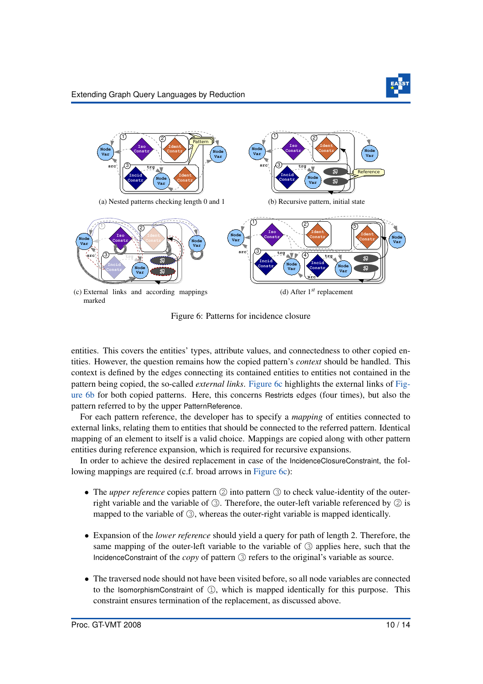

Figure 6: Patterns for incidence closure

entities. This covers the entities' types, attribute values, and connectedness to other copied entities. However, the question remains how the copied pattern's *context* should be handled. This context is defined by the edges connecting its contained entities to entities not contained in the pattern being copied, the so-called *external links*. Figure 6c highlights the external links of Figure 6b for both copied patterns. Here, this concerns Restricts edges (four times), but also the pattern referred to by the upper PatternReference.

For each pattern reference, the developer has to specify a *mapping* of entities connected to external links, relating them to entities that should be connected to the referred pattern. Identical mapping of an element to itself is a valid choice. Mappings are copied along with other pattern entities during reference expansion, which is required for recursive expansions.

In order to achieve the desired replacement in case of the IncidenceClosureConstraint, the following mappings are required (c.f. broad arrows in Figure 6c):

- The *upper reference* copies pattern  $\circled{2}$  into pattern  $\circled{3}$  to check value-identity of the outerright variable and the variable of  $\circled{3}$ . Therefore, the outer-left variable referenced by  $\circled{2}$  is mapped to the variable of  $\circled{3}$ , whereas the outer-right variable is mapped identically.
- Expansion of the *lower reference* should yield a query for path of length 2. Therefore, the same mapping of the outer-left variable to the variable of  $\circled{3}$  applies here, such that the IncidenceConstraint of the *copy* of pattern  $\circled{3}$  refers to the original's variable as source.
- The traversed node should not have been visited before, so all node variables are connected to the IsomorphismConstraint of  $\mathbb{Q}$ , which is mapped identically for this purpose. This constraint ensures termination of the replacement, as discussed above.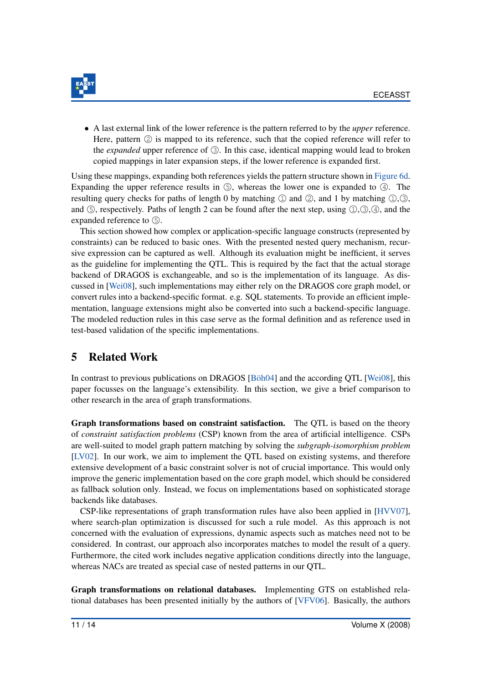

• A last external link of the lower reference is the pattern referred to by the *upper* reference. Here, pattern  $\oslash$  is mapped to its reference, such that the copied reference will refer to the *expanded* upper reference of  $\Im$ . In this case, identical mapping would lead to broken copied mappings in later expansion steps, if the lower reference is expanded first.

Using these mappings, expanding both references yields the pattern structure shown in Figure 6d. Expanding the upper reference results in  $\circledS$ , whereas the lower one is expanded to  $\circledA$ . The resulting query checks for paths of length 0 by matching  $\mathbb{Q}$  and  $\mathbb{Q}$ , and 1 by matching  $\mathbb{Q}, \mathbb{Q}$ , and  $\circledS$ , respectively. Paths of length 2 can be found after the next step, using  $\circled{1}, \circled{3}, \circled{4}$ , and the expanded reference to  $(5)$ .

This section showed how complex or application-specific language constructs (represented by constraints) can be reduced to basic ones. With the presented nested query mechanism, recursive expression can be captured as well. Although its evaluation might be inefficient, it serves as the guideline for implementing the QTL. This is required by the fact that the actual storage backend of DRAGOS is exchangeable, and so is the implementation of its language. As discussed in [Wei08], such implementations may either rely on the DRAGOS core graph model, or convert rules into a backend-specific format. e.g. SQL statements. To provide an efficient implementation, language extensions might also be converted into such a backend-specific language. The modeled reduction rules in this case serve as the formal definition and as reference used in test-based validation of the specific implementations.

# 5 Related Work

In contrast to previous publications on DRAGOS  $[B\ddot{o}h04]$  and the according QTL [Wei08], this paper focusses on the language's extensibility. In this section, we give a brief comparison to other research in the area of graph transformations.

Graph transformations based on constraint satisfaction. The QTL is based on the theory of *constraint satisfaction problems* (CSP) known from the area of artificial intelligence. CSPs are well-suited to model graph pattern matching by solving the *subgraph-isomorphism problem* [LV02]. In our work, we aim to implement the QTL based on existing systems, and therefore extensive development of a basic constraint solver is not of crucial importance. This would only improve the generic implementation based on the core graph model, which should be considered as fallback solution only. Instead, we focus on implementations based on sophisticated storage backends like databases.

CSP-like representations of graph transformation rules have also been applied in [HVV07], where search-plan optimization is discussed for such a rule model. As this approach is not concerned with the evaluation of expressions, dynamic aspects such as matches need not to be considered. In contrast, our approach also incorporates matches to model the result of a query. Furthermore, the cited work includes negative application conditions directly into the language, whereas NACs are treated as special case of nested patterns in our QTL.

Graph transformations on relational databases. Implementing GTS on established relational databases has been presented initially by the authors of [VFV06]. Basically, the authors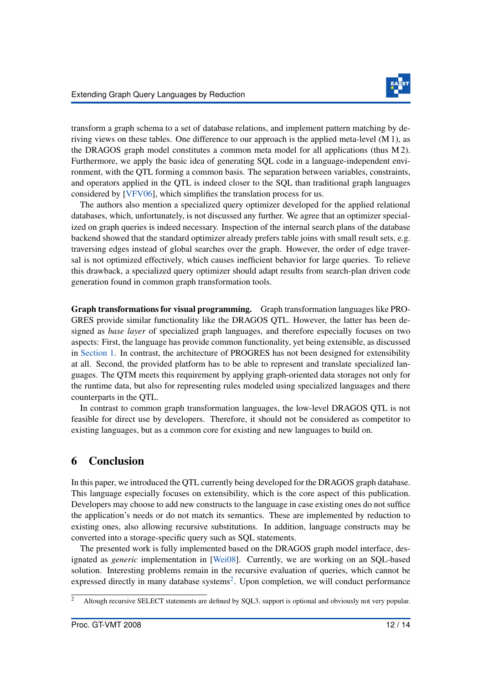

transform a graph schema to a set of database relations, and implement pattern matching by deriving views on these tables. One difference to our approach is the applied meta-level (M 1), as the DRAGOS graph model constitutes a common meta model for all applications (thus M 2). Furthermore, we apply the basic idea of generating SQL code in a language-independent environment, with the QTL forming a common basis. The separation between variables, constraints, and operators applied in the QTL is indeed closer to the SQL than traditional graph languages considered by [VFV06], which simplifies the translation process for us.

The authors also mention a specialized query optimizer developed for the applied relational databases, which, unfortunately, is not discussed any further. We agree that an optimizer specialized on graph queries is indeed necessary. Inspection of the internal search plans of the database backend showed that the standard optimizer already prefers table joins with small result sets, e.g. traversing edges instead of global searches over the graph. However, the order of edge traversal is not optimized effectively, which causes inefficient behavior for large queries. To relieve this drawback, a specialized query optimizer should adapt results from search-plan driven code generation found in common graph transformation tools.

Graph transformations for visual programming. Graph transformation languages like PRO-GRES provide similar functionality like the DRAGOS QTL. However, the latter has been designed as *base layer* of specialized graph languages, and therefore especially focuses on two aspects: First, the language has provide common functionality, yet being extensible, as discussed in Section 1. In contrast, the architecture of PROGRES has not been designed for extensibility at all. Second, the provided platform has to be able to represent and translate specialized languages. The QTM meets this requirement by applying graph-oriented data storages not only for the runtime data, but also for representing rules modeled using specialized languages and there counterparts in the QTL.

In contrast to common graph transformation languages, the low-level DRAGOS QTL is not feasible for direct use by developers. Therefore, it should not be considered as competitor to existing languages, but as a common core for existing and new languages to build on.

## 6 Conclusion

In this paper, we introduced the QTL currently being developed for the DRAGOS graph database. This language especially focuses on extensibility, which is the core aspect of this publication. Developers may choose to add new constructs to the language in case existing ones do not suffice the application's needs or do not match its semantics. These are implemented by reduction to existing ones, also allowing recursive substitutions. In addition, language constructs may be converted into a storage-specific query such as SQL statements.

The presented work is fully implemented based on the DRAGOS graph model interface, designated as *generic* implementation in [Wei08]. Currently, we are working on an SQL-based solution. Interesting problems remain in the recursive evaluation of queries, which cannot be expressed directly in many database systems<sup>2</sup>. Upon completion, we will conduct performance

<sup>&</sup>lt;sup>2</sup> Altough recursive SELECT statements are defined by SQL3, support is optional and obviously not very popular.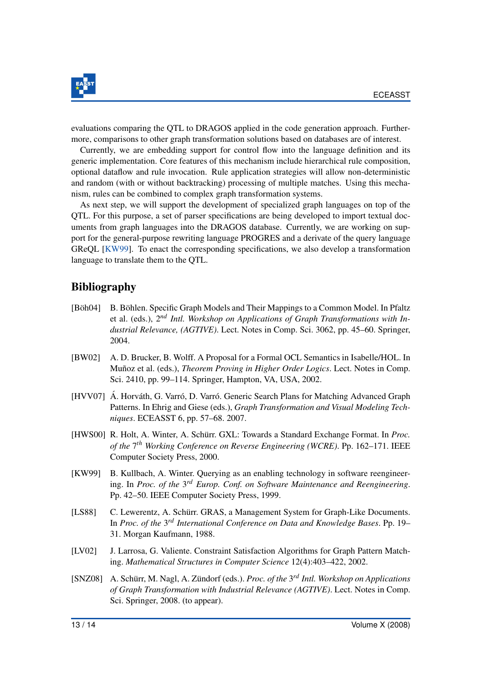

evaluations comparing the QTL to DRAGOS applied in the code generation approach. Furthermore, comparisons to other graph transformation solutions based on databases are of interest.

Currently, we are embedding support for control flow into the language definition and its generic implementation. Core features of this mechanism include hierarchical rule composition, optional dataflow and rule invocation. Rule application strategies will allow non-deterministic and random (with or without backtracking) processing of multiple matches. Using this mechanism, rules can be combined to complex graph transformation systems.

As next step, we will support the development of specialized graph languages on top of the QTL. For this purpose, a set of parser specifications are being developed to import textual documents from graph languages into the DRAGOS database. Currently, we are working on support for the general-purpose rewriting language PROGRES and a derivate of the query language GReQL [KW99]. To enact the corresponding specifications, we also develop a transformation language to translate them to the QTL.

# Bibliography

- [Böh04] E. Böhlen. Specific Graph Models and Their Mappings to a Common Model. In Pfaltz et al. (eds.), 2 *nd Intl. Workshop on Applications of Graph Transformations with Industrial Relevance, (AGTIVE)*. Lect. Notes in Comp. Sci. 3062, pp. 45–60. Springer, 2004.
- [BW02] A. D. Brucker, B. Wolff. A Proposal for a Formal OCL Semantics in Isabelle/HOL. In Munoz ˜ et al. (eds.), *Theorem Proving in Higher Order Logics*. Lect. Notes in Comp. Sci. 2410, pp. 99–114. Springer, Hampton, VA, USA, 2002.
- [HVV07] Á. Horváth, G. Varró, D. Varró. Generic Search Plans for Matching Advanced Graph Patterns. In Ehrig and Giese (eds.), *Graph Transformation and Visual Modeling Techniques*. ECEASST 6, pp. 57–68. 2007.
- [HWS00] R. Holt, A. Winter, A. Schürr. GXL: Towards a Standard Exchange Format. In *Proc. of the* 7 *th Working Conference on Reverse Engineering (WCRE)*. Pp. 162–171. IEEE Computer Society Press, 2000.
- [KW99] B. Kullbach, A. Winter. Querying as an enabling technology in software reengineering. In *Proc. of the* 3 *rd Europ. Conf. on Software Maintenance and Reengineering*. Pp. 42–50. IEEE Computer Society Press, 1999.
- [LS88] C. Lewerentz, A. Schürr. GRAS, a Management System for Graph-Like Documents. In Proc. of the 3<sup>rd</sup> International Conference on Data and Knowledge Bases. Pp. 19– 31. Morgan Kaufmann, 1988.
- [LV02] J. Larrosa, G. Valiente. Constraint Satisfaction Algorithms for Graph Pattern Matching. *Mathematical Structures in Computer Science* 12(4):403–422, 2002.
- [SNZ08] A. Schürr, M. Nagl, A. Zündorf (eds.). *Proc. of the* 3<sup>rd</sup> Intl. Workshop on Applications *of Graph Transformation with Industrial Relevance (AGTIVE)*. Lect. Notes in Comp. Sci. Springer, 2008. (to appear).